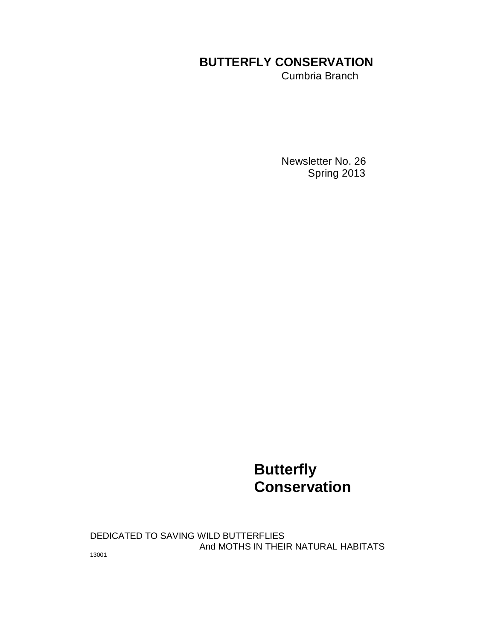# **BUTTERFLY CONSERVATION**

Cumbria Branch

 Newsletter No. 26 Spring 2013

# **Butterfly Conservation**

DEDICATED TO SAVING WILD BUTTERFLIES And MOTHS IN THEIR NATURAL HABITATS

13001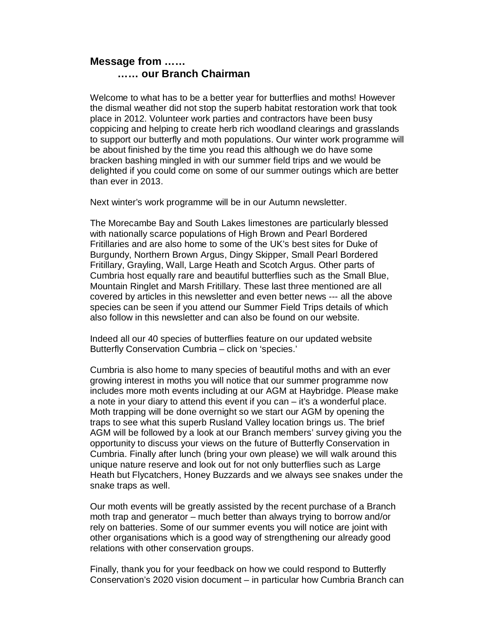# **Message from …… …… our Branch Chairman**

Welcome to what has to be a better year for butterflies and moths! However the dismal weather did not stop the superb habitat restoration work that took place in 2012. Volunteer work parties and contractors have been busy coppicing and helping to create herb rich woodland clearings and grasslands to support our butterfly and moth populations. Our winter work programme will be about finished by the time you read this although we do have some bracken bashing mingled in with our summer field trips and we would be delighted if you could come on some of our summer outings which are better than ever in 2013.

Next winter's work programme will be in our Autumn newsletter.

The Morecambe Bay and South Lakes limestones are particularly blessed with nationally scarce populations of High Brown and Pearl Bordered Fritillaries and are also home to some of the UK's best sites for Duke of Burgundy, Northern Brown Argus, Dingy Skipper, Small Pearl Bordered Fritillary, Grayling, Wall, Large Heath and Scotch Argus. Other parts of Cumbria host equally rare and beautiful butterflies such as the Small Blue, Mountain Ringlet and Marsh Fritillary. These last three mentioned are all covered by articles in this newsletter and even better news --- all the above species can be seen if you attend our Summer Field Trips details of which also follow in this newsletter and can also be found on our website.

Indeed all our 40 species of butterflies feature on our updated website Butterfly Conservation Cumbria – click on 'species.'

Cumbria is also home to many species of beautiful moths and with an ever growing interest in moths you will notice that our summer programme now includes more moth events including at our AGM at Haybridge. Please make a note in your diary to attend this event if you can – it's a wonderful place. Moth trapping will be done overnight so we start our AGM by opening the traps to see what this superb Rusland Valley location brings us. The brief AGM will be followed by a look at our Branch members' survey giving you the opportunity to discuss your views on the future of Butterfly Conservation in Cumbria. Finally after lunch (bring your own please) we will walk around this unique nature reserve and look out for not only butterflies such as Large Heath but Flycatchers, Honey Buzzards and we always see snakes under the snake traps as well.

Our moth events will be greatly assisted by the recent purchase of a Branch moth trap and generator – much better than always trying to borrow and/or rely on batteries. Some of our summer events you will notice are joint with other organisations which is a good way of strengthening our already good relations with other conservation groups.

Finally, thank you for your feedback on how we could respond to Butterfly Conservation's 2020 vision document – in particular how Cumbria Branch can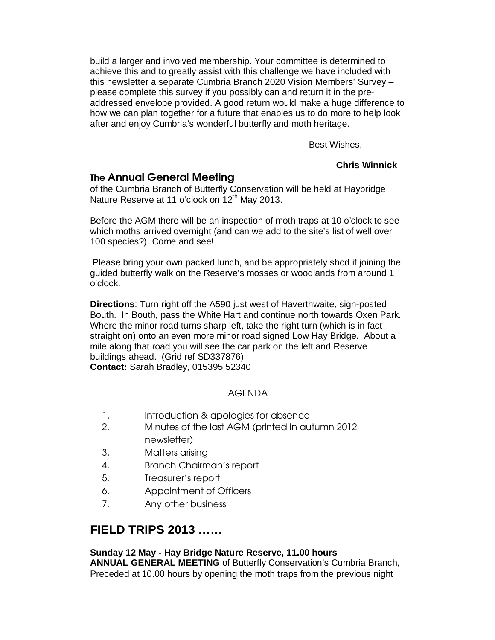build a larger and involved membership. Your committee is determined to achieve this and to greatly assist with this challenge we have included with this newsletter a separate Cumbria Branch 2020 Vision Members' Survey – please complete this survey if you possibly can and return it in the preaddressed envelope provided. A good return would make a huge difference to how we can plan together for a future that enables us to do more to help look after and enjoy Cumbria's wonderful butterfly and moth heritage.

Best Wishes,

# **Chris Winnick**

# The Annual General Meeting

of the Cumbria Branch of Butterfly Conservation will be held at Haybridge Nature Reserve at 11 o'clock on 12<sup>th</sup> May 2013.

Before the AGM there will be an inspection of moth traps at 10 o'clock to see which moths arrived overnight (and can we add to the site's list of well over 100 species?). Come and see!

 Please bring your own packed lunch, and be appropriately shod if joining the guided butterfly walk on the Reserve's mosses or woodlands from around 1 o'clock.

**Directions**: Turn right off the A590 just west of Haverthwaite, sign-posted Bouth. In Bouth, pass the White Hart and continue north towards Oxen Park. Where the minor road turns sharp left, take the right turn (which is in fact straight on) onto an even more minor road signed Low Hay Bridge. About a mile along that road you will see the car park on the left and Reserve buildings ahead. (Grid ref SD337876) **Contact:** Sarah Bradley, 015395 52340

# AGENDA

- 1. Introduction & apologies for absence
- 2. Minutes of the last AGM (printed in autumn 2012 newsletter)
- 3. Matters arising
- 4. Branch Chairman's report
- 5. Treasurer's report
- 6. Appointment of Officers
- 7. Any other business

# **FIELD TRIPS 2013 ……**

### **Sunday 12 May - Hay Bridge Nature Reserve, 11.00 hours**

**ANNUAL GENERAL MEETING** of Butterfly Conservation's Cumbria Branch, Preceded at 10.00 hours by opening the moth traps from the previous night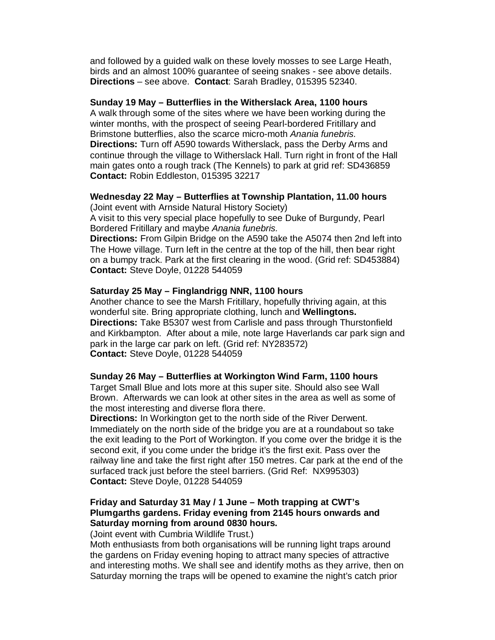and followed by a guided walk on these lovely mosses to see Large Heath, birds and an almost 100% guarantee of seeing snakes - see above details. **Directions** – see above. **Contact**: Sarah Bradley, 015395 52340.

#### **Sunday 19 May – Butterflies in the Witherslack Area, 1100 hours**

A walk through some of the sites where we have been working during the winter months, with the prospect of seeing Pearl-bordered Fritillary and Brimstone butterflies, also the scarce micro-moth Anania funebris. **Directions:** Turn off A590 towards Witherslack, pass the Derby Arms and continue through the village to Witherslack Hall. Turn right in front of the Hall main gates onto a rough track (The Kennels) to park at grid ref: SD436859 **Contact:** Robin Eddleston, 015395 32217

# **Wednesday 22 May – Butterflies at Township Plantation, 11.00 hours**

(Joint event with Arnside Natural History Society)

A visit to this very special place hopefully to see Duke of Burgundy, Pearl Bordered Fritillary and maybe Anania funebris.

**Directions:** From Gilpin Bridge on the A590 take the A5074 then 2nd left into The Howe village. Turn left in the centre at the top of the hill, then bear right on a bumpy track. Park at the first clearing in the wood. (Grid ref: SD453884) **Contact:** Steve Doyle, 01228 544059

#### **Saturday 25 May – Finglandrigg NNR, 1100 hours**

Another chance to see the Marsh Fritillary, hopefully thriving again, at this wonderful site. Bring appropriate clothing, lunch and **Wellingtons. Directions:** Take B5307 west from Carlisle and pass through Thurstonfield and Kirkbampton. After about a mile, note large Haverlands car park sign and park in the large car park on left. (Grid ref: NY283572) **Contact:** Steve Doyle, 01228 544059

#### **Sunday 26 May – Butterflies at Workington Wind Farm, 1100 hours**

Target Small Blue and lots more at this super site. Should also see Wall Brown. Afterwards we can look at other sites in the area as well as some of the most interesting and diverse flora there.

**Directions:** In Workington get to the north side of the River Derwent. Immediately on the north side of the bridge you are at a roundabout so take the exit leading to the Port of Workington. If you come over the bridge it is the second exit, if you come under the bridge it's the first exit. Pass over the railway line and take the first right after 150 metres. Car park at the end of the surfaced track just before the steel barriers. (Grid Ref: NX995303) **Contact:** Steve Doyle, 01228 544059

# **Friday and Saturday 31 May / 1 June – Moth trapping at CWT's Plumgarths gardens. Friday evening from 2145 hours onwards and Saturday morning from around 0830 hours.**

(Joint event with Cumbria Wildlife Trust.)

Moth enthusiasts from both organisations will be running light traps around the gardens on Friday evening hoping to attract many species of attractive and interesting moths. We shall see and identify moths as they arrive, then on Saturday morning the traps will be opened to examine the night's catch prior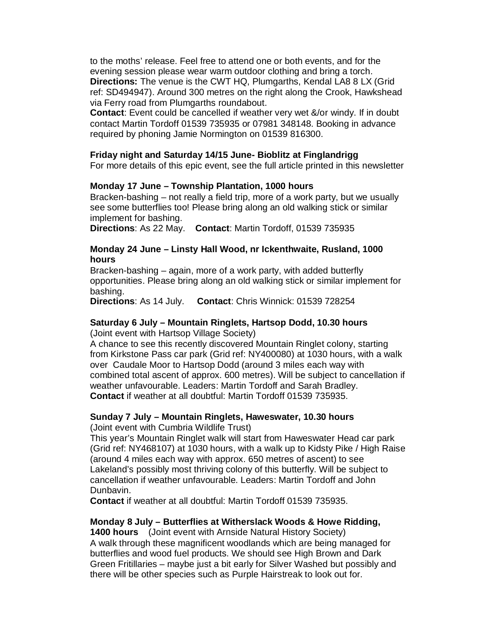to the moths' release. Feel free to attend one or both events, and for the evening session please wear warm outdoor clothing and bring a torch. **Directions:** The venue is the CWT HQ, Plumgarths, Kendal LA8 8 LX (Grid ref: SD494947). Around 300 metres on the right along the Crook, Hawkshead via Ferry road from Plumgarths roundabout.

**Contact**: Event could be cancelled if weather very wet &/or windy. If in doubt contact Martin Tordoff 01539 735935 or 07981 348148. Booking in advance required by phoning Jamie Normington on 01539 816300.

#### **Friday night and Saturday 14/15 June- Bioblitz at Finglandrigg**

For more details of this epic event, see the full article printed in this newsletter

#### **Monday 17 June – Township Plantation, 1000 hours**

Bracken-bashing – not really a field trip, more of a work party, but we usually see some butterflies too! Please bring along an old walking stick or similar implement for bashing.

**Directions**: As 22 May. **Contact**: Martin Tordoff, 01539 735935

#### **Monday 24 June – Linsty Hall Wood, nr Ickenthwaite, Rusland, 1000 hours**

Bracken-bashing – again, more of a work party, with added butterfly opportunities. Please bring along an old walking stick or similar implement for bashing.

**Directions**: As 14 July. **Contact**: Chris Winnick: 01539 728254

#### **Saturday 6 July – Mountain Ringlets, Hartsop Dodd, 10.30 hours**

(Joint event with Hartsop Village Society)

A chance to see this recently discovered Mountain Ringlet colony, starting from Kirkstone Pass car park (Grid ref: NY400080) at 1030 hours, with a walk over Caudale Moor to Hartsop Dodd (around 3 miles each way with combined total ascent of approx. 600 metres). Will be subject to cancellation if weather unfavourable. Leaders: Martin Tordoff and Sarah Bradley. **Contact** if weather at all doubtful: Martin Tordoff 01539 735935.

#### **Sunday 7 July – Mountain Ringlets, Haweswater, 10.30 hours**

(Joint event with Cumbria Wildlife Trust)

This year's Mountain Ringlet walk will start from Haweswater Head car park (Grid ref: NY468107) at 1030 hours, with a walk up to Kidsty Pike / High Raise (around 4 miles each way with approx. 650 metres of ascent) to see Lakeland's possibly most thriving colony of this butterfly. Will be subject to cancellation if weather unfavourable. Leaders: Martin Tordoff and John Dunbavin.

**Contact** if weather at all doubtful: Martin Tordoff 01539 735935.

#### **Monday 8 July – Butterflies at Witherslack Woods & Howe Ridding,**

**1400 hours** (Joint event with Arnside Natural History Society) A walk through these magnificent woodlands which are being managed for butterflies and wood fuel products. We should see High Brown and Dark Green Fritillaries – maybe just a bit early for Silver Washed but possibly and there will be other species such as Purple Hairstreak to look out for.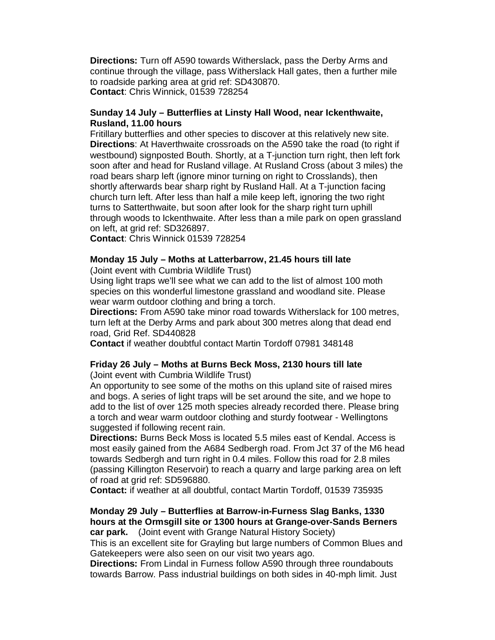**Directions:** Turn off A590 towards Witherslack, pass the Derby Arms and continue through the village, pass Witherslack Hall gates, then a further mile to roadside parking area at grid ref: SD430870. **Contact**: Chris Winnick, 01539 728254

#### **Sunday 14 July – Butterflies at Linsty Hall Wood, near Ickenthwaite, Rusland, 11.00 hours**

Fritillary butterflies and other species to discover at this relatively new site. **Directions**: At Haverthwaite crossroads on the A590 take the road (to right if westbound) signposted Bouth. Shortly, at a T-junction turn right, then left fork soon after and head for Rusland village. At Rusland Cross (about 3 miles) the road bears sharp left (ignore minor turning on right to Crosslands), then shortly afterwards bear sharp right by Rusland Hall. At a T-junction facing church turn left. After less than half a mile keep left, ignoring the two right turns to Satterthwaite, but soon after look for the sharp right turn uphill through woods to Ickenthwaite. After less than a mile park on open grassland on left, at grid ref: SD326897.

**Contact**: Chris Winnick 01539 728254

#### **Monday 15 July – Moths at Latterbarrow, 21.45 hours till late**

(Joint event with Cumbria Wildlife Trust)

Using light traps we'll see what we can add to the list of almost 100 moth species on this wonderful limestone grassland and woodland site. Please wear warm outdoor clothing and bring a torch.

**Directions:** From A590 take minor road towards Witherslack for 100 metres, turn left at the Derby Arms and park about 300 metres along that dead end road, Grid Ref. SD440828

**Contact** if weather doubtful contact Martin Tordoff 07981 348148

# **Friday 26 July – Moths at Burns Beck Moss, 2130 hours till late**

(Joint event with Cumbria Wildlife Trust)

An opportunity to see some of the moths on this upland site of raised mires and bogs. A series of light traps will be set around the site, and we hope to add to the list of over 125 moth species already recorded there. Please bring a torch and wear warm outdoor clothing and sturdy footwear - Wellingtons suggested if following recent rain.

**Directions:** Burns Beck Moss is located 5.5 miles east of Kendal. Access is most easily gained from the A684 Sedbergh road. From Jct 37 of the M6 head towards Sedbergh and turn right in 0.4 miles. Follow this road for 2.8 miles (passing Killington Reservoir) to reach a quarry and large parking area on left of road at grid ref: SD596880.

**Contact:** if weather at all doubtful, contact Martin Tordoff, 01539 735935

#### **Monday 29 July – Butterflies at Barrow-in-Furness Slag Banks, 1330 hours at the Ormsgill site or 1300 hours at Grange-over-Sands Berners car park.** (Joint event with Grange Natural History Society)

This is an excellent site for Grayling but large numbers of Common Blues and Gatekeepers were also seen on our visit two years ago.

**Directions:** From Lindal in Furness follow A590 through three roundabouts towards Barrow. Pass industrial buildings on both sides in 40-mph limit. Just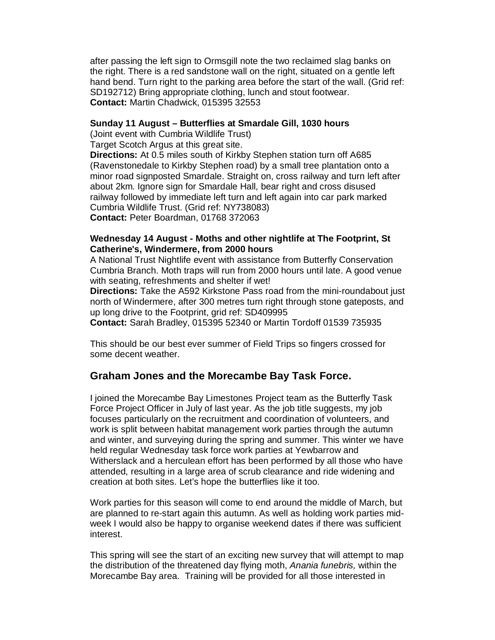after passing the left sign to Ormsgill note the two reclaimed slag banks on the right. There is a red sandstone wall on the right, situated on a gentle left hand bend. Turn right to the parking area before the start of the wall. (Grid ref: SD192712) Bring appropriate clothing, lunch and stout footwear. **Contact:** Martin Chadwick, 015395 32553

#### **Sunday 11 August – Butterflies at Smardale Gill, 1030 hours**

(Joint event with Cumbria Wildlife Trust) Target Scotch Argus at this great site.

**Directions:** At 0.5 miles south of Kirkby Stephen station turn off A685

(Ravenstonedale to Kirkby Stephen road) by a small tree plantation onto a minor road signposted Smardale. Straight on, cross railway and turn left after about 2km. Ignore sign for Smardale Hall, bear right and cross disused railway followed by immediate left turn and left again into car park marked Cumbria Wildlife Trust. (Grid ref: NY738083) **Contact:** Peter Boardman, 01768 372063

#### **Wednesday 14 August - Moths and other nightlife at The Footprint, St Catherine's, Windermere, from 2000 hours**

A National Trust Nightlife event with assistance from Butterfly Conservation Cumbria Branch. Moth traps will run from 2000 hours until late. A good venue with seating, refreshments and shelter if wet!

**Directions:** Take the A592 Kirkstone Pass road from the mini-roundabout just north of Windermere, after 300 metres turn right through stone gateposts, and up long drive to the Footprint, grid ref: SD409995

**Contact:** Sarah Bradley, 015395 52340 or Martin Tordoff 01539 735935

This should be our best ever summer of Field Trips so fingers crossed for some decent weather.

# **Graham Jones and the Morecambe Bay Task Force.**

I joined the Morecambe Bay Limestones Project team as the Butterfly Task Force Project Officer in July of last year. As the job title suggests, my job focuses particularly on the recruitment and coordination of volunteers, and work is split between habitat management work parties through the autumn and winter, and surveying during the spring and summer. This winter we have held regular Wednesday task force work parties at Yewbarrow and Witherslack and a herculean effort has been performed by all those who have attended, resulting in a large area of scrub clearance and ride widening and creation at both sites. Let's hope the butterflies like it too.

Work parties for this season will come to end around the middle of March, but are planned to re-start again this autumn. As well as holding work parties midweek I would also be happy to organise weekend dates if there was sufficient interest.

This spring will see the start of an exciting new survey that will attempt to map the distribution of the threatened day flying moth, Anania funebris, within the Morecambe Bay area. Training will be provided for all those interested in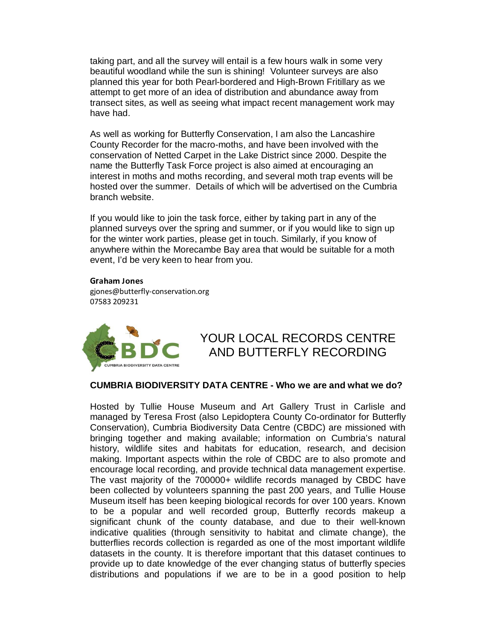taking part, and all the survey will entail is a few hours walk in some very beautiful woodland while the sun is shining! Volunteer surveys are also planned this year for both Pearl-bordered and High-Brown Fritillary as we attempt to get more of an idea of distribution and abundance away from transect sites, as well as seeing what impact recent management work may have had.

As well as working for Butterfly Conservation, I am also the Lancashire County Recorder for the macro-moths, and have been involved with the conservation of Netted Carpet in the Lake District since 2000. Despite the name the Butterfly Task Force project is also aimed at encouraging an interest in moths and moths recording, and several moth trap events will be hosted over the summer. Details of which will be advertised on the Cumbria branch website.

If you would like to join the task force, either by taking part in any of the planned surveys over the spring and summer, or if you would like to sign up for the winter work parties, please get in touch. Similarly, if you know of anywhere within the Morecambe Bay area that would be suitable for a moth event, I'd be very keen to hear from you.

#### Charles and Indiana and the Contract of the Contract of the Contract of the Contract of the Contract of the Co

gjones@butterfly-conservation.org 07583 209231



# YOUR LOCAL RECORDS CENTRE AND BUTTERFLY RECORDING

#### **CUMBRIA BIODIVERSITY DATA CENTRE - Who we are and what we do?**

Hosted by Tullie House Museum and Art Gallery Trust in Carlisle and managed by Teresa Frost (also Lepidoptera County Co-ordinator for Butterfly Conservation), Cumbria Biodiversity Data Centre (CBDC) are missioned with bringing together and making available; information on Cumbria's natural history, wildlife sites and habitats for education, research, and decision making. Important aspects within the role of CBDC are to also promote and encourage local recording, and provide technical data management expertise. The vast majority of the 700000+ wildlife records managed by CBDC have been collected by volunteers spanning the past 200 years, and Tullie House Museum itself has been keeping biological records for over 100 years. Known to be a popular and well recorded group, Butterfly records makeup a significant chunk of the county database, and due to their well-known indicative qualities (through sensitivity to habitat and climate change), the butterflies records collection is regarded as one of the most important wildlife datasets in the county. It is therefore important that this dataset continues to provide up to date knowledge of the ever changing status of butterfly species distributions and populations if we are to be in a good position to help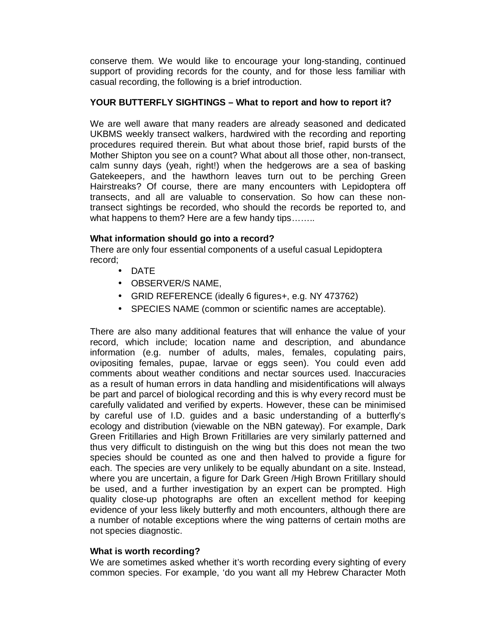conserve them. We would like to encourage your long-standing, continued support of providing records for the county, and for those less familiar with casual recording, the following is a brief introduction.

### **YOUR BUTTERFLY SIGHTINGS – What to report and how to report it?**

We are well aware that many readers are already seasoned and dedicated UKBMS weekly transect walkers, hardwired with the recording and reporting procedures required therein. But what about those brief, rapid bursts of the Mother Shipton you see on a count? What about all those other, non-transect, calm sunny days (yeah, right!) when the hedgerows are a sea of basking Gatekeepers, and the hawthorn leaves turn out to be perching Green Hairstreaks? Of course, there are many encounters with Lepidoptera off transects, and all are valuable to conservation. So how can these nontransect sightings be recorded, who should the records be reported to, and what happens to them? Here are a few handy tips........

### **What information should go into a record?**

There are only four essential components of a useful casual Lepidoptera record;

- DATE
- OBSERVER/S NAME,
- GRID REFERENCE (ideally 6 figures+, e.g. NY 473762)
- SPECIES NAME (common or scientific names are acceptable).

There are also many additional features that will enhance the value of your record, which include; location name and description, and abundance information (e.g. number of adults, males, females, copulating pairs, ovipositing females, pupae, larvae or eggs seen). You could even add comments about weather conditions and nectar sources used. Inaccuracies as a result of human errors in data handling and misidentifications will always be part and parcel of biological recording and this is why every record must be carefully validated and verified by experts. However, these can be minimised by careful use of I.D. guides and a basic understanding of a butterfly's ecology and distribution (viewable on the NBN gateway). For example, Dark Green Fritillaries and High Brown Fritillaries are very similarly patterned and thus very difficult to distinguish on the wing but this does not mean the two species should be counted as one and then halved to provide a figure for each. The species are very unlikely to be equally abundant on a site. Instead, where you are uncertain, a figure for Dark Green /High Brown Fritillary should be used, and a further investigation by an expert can be prompted. High quality close-up photographs are often an excellent method for keeping evidence of your less likely butterfly and moth encounters, although there are a number of notable exceptions where the wing patterns of certain moths are not species diagnostic.

### **What is worth recording?**

We are sometimes asked whether it's worth recording every sighting of every common species. For example, 'do you want all my Hebrew Character Moth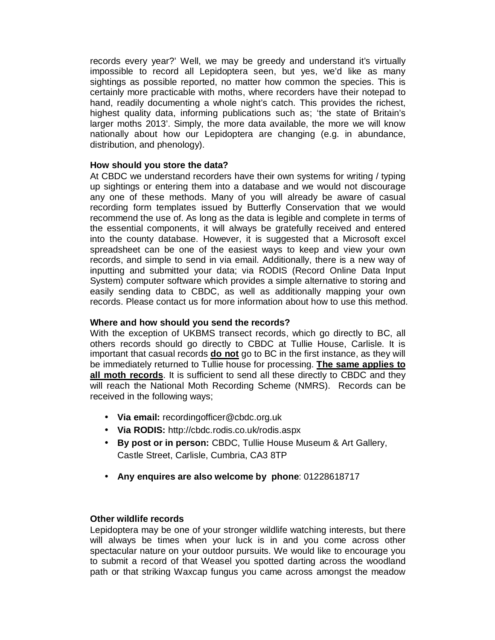records every year?' Well, we may be greedy and understand it's virtually impossible to record all Lepidoptera seen, but yes, we'd like as many sightings as possible reported, no matter how common the species. This is certainly more practicable with moths, where recorders have their notepad to hand, readily documenting a whole night's catch. This provides the richest, highest quality data, informing publications such as; 'the state of Britain's larger moths 2013'. Simply, the more data available, the more we will know nationally about how our Lepidoptera are changing (e.g. in abundance, distribution, and phenology).

#### **How should you store the data?**

At CBDC we understand recorders have their own systems for writing / typing up sightings or entering them into a database and we would not discourage any one of these methods. Many of you will already be aware of casual recording form templates issued by Butterfly Conservation that we would recommend the use of. As long as the data is legible and complete in terms of the essential components, it will always be gratefully received and entered into the county database. However, it is suggested that a Microsoft excel spreadsheet can be one of the easiest ways to keep and view your own records, and simple to send in via email. Additionally, there is a new way of inputting and submitted your data; via RODIS (Record Online Data Input System) computer software which provides a simple alternative to storing and easily sending data to CBDC, as well as additionally mapping your own records. Please contact us for more information about how to use this method.

### **Where and how should you send the records?**

With the exception of UKBMS transect records, which go directly to BC, all others records should go directly to CBDC at Tullie House, Carlisle. It is important that casual records **do not** go to BC in the first instance, as they will be immediately returned to Tullie house for processing. **The same applies to all moth records**. It is sufficient to send all these directly to CBDC and they will reach the National Moth Recording Scheme (NMRS). Records can be received in the following ways;

- **Via email:** recordingofficer@cbdc.org.uk
- **Via RODIS:** http://cbdc.rodis.co.uk/rodis.aspx
- **By post or in person:** CBDC, Tullie House Museum & Art Gallery, Castle Street, Carlisle, Cumbria, CA3 8TP
- **Any enquires are also welcome by phone**: 01228618717

#### **Other wildlife records**

Lepidoptera may be one of your stronger wildlife watching interests, but there will always be times when your luck is in and you come across other spectacular nature on your outdoor pursuits. We would like to encourage you to submit a record of that Weasel you spotted darting across the woodland path or that striking Waxcap fungus you came across amongst the meadow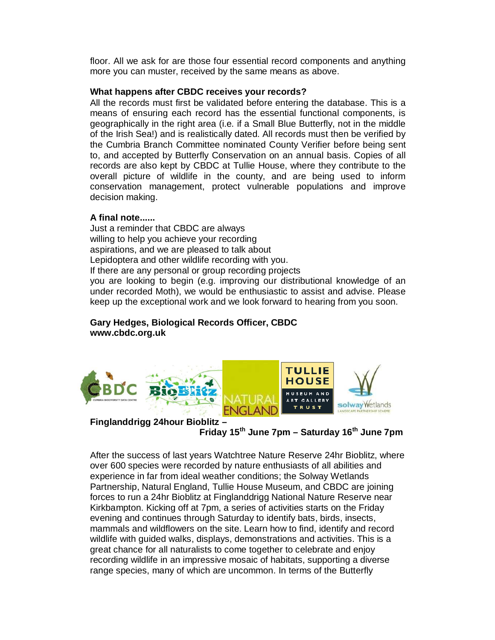floor. All we ask for are those four essential record components and anything more you can muster, received by the same means as above.

#### **What happens after CBDC receives your records?**

All the records must first be validated before entering the database. This is a means of ensuring each record has the essential functional components, is geographically in the right area (i.e. if a Small Blue Butterfly, not in the middle of the Irish Sea!) and is realistically dated. All records must then be verified by the Cumbria Branch Committee nominated County Verifier before being sent to, and accepted by Butterfly Conservation on an annual basis. Copies of all records are also kept by CBDC at Tullie House, where they contribute to the overall picture of wildlife in the county, and are being used to inform conservation management, protect vulnerable populations and improve decision making.

#### **A final note......**

Just a reminder that CBDC are always willing to help you achieve your recording aspirations, and we are pleased to talk about Lepidoptera and other wildlife recording with you. If there are any personal or group recording projects you are looking to begin (e.g. improving our distributional knowledge of an under recorded Moth), we would be enthusiastic to assist and advise. Please keep up the exceptional work and we look forward to hearing from you soon.

### **Gary Hedges, Biological Records Officer, CBDC www.cbdc.org.uk**



# **Finglanddrigg 24hour Bioblitz –**

# **Friday 15th June 7pm – Saturday 16th June 7pm**

After the success of last years Watchtree Nature Reserve 24hr Bioblitz, where over 600 species were recorded by nature enthusiasts of all abilities and experience in far from ideal weather conditions; the Solway Wetlands Partnership, Natural England, Tullie House Museum, and CBDC are joining forces to run a 24hr Bioblitz at Finglanddrigg National Nature Reserve near Kirkbampton. Kicking off at 7pm, a series of activities starts on the Friday evening and continues through Saturday to identify bats, birds, insects, mammals and wildflowers on the site. Learn how to find, identify and record wildlife with guided walks, displays, demonstrations and activities. This is a great chance for all naturalists to come together to celebrate and enjoy recording wildlife in an impressive mosaic of habitats, supporting a diverse range species, many of which are uncommon. In terms of the Butterfly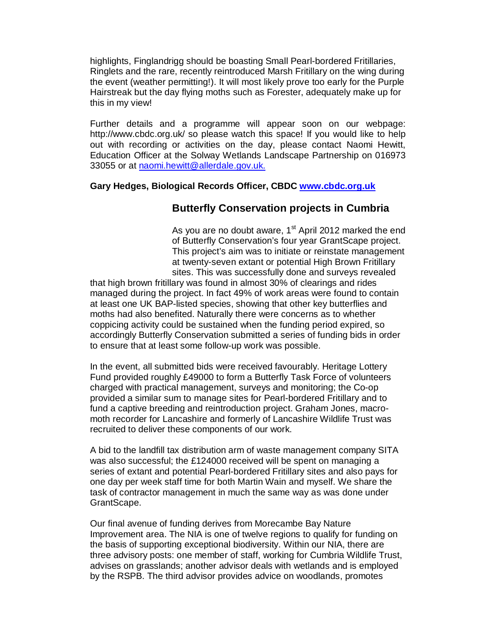highlights, Finglandrigg should be boasting Small Pearl-bordered Fritillaries, Ringlets and the rare, recently reintroduced Marsh Fritillary on the wing during the event (weather permitting!). It will most likely prove too early for the Purple Hairstreak but the day flying moths such as Forester, adequately make up for this in my view!

Further details and a programme will appear soon on our webpage: http://www.cbdc.org.uk/ so please watch this space! If you would like to help out with recording or activities on the day, please contact Naomi Hewitt, Education Officer at the Solway Wetlands Landscape Partnership on 016973 33055 or at naomi.hewitt@allerdale.gov.uk.

### **Gary Hedges, Biological Records Officer, CBDC www.cbdc.org.uk**

# **Butterfly Conservation projects in Cumbria**

As you are no doubt aware,  $1<sup>st</sup>$  April 2012 marked the end of Butterfly Conservation's four year GrantScape project. This project's aim was to initiate or reinstate management at twenty-seven extant or potential High Brown Fritillary sites. This was successfully done and surveys revealed

that high brown fritillary was found in almost 30% of clearings and rides managed during the project. In fact 49% of work areas were found to contain at least one UK BAP-listed species, showing that other key butterflies and moths had also benefited. Naturally there were concerns as to whether coppicing activity could be sustained when the funding period expired, so accordingly Butterfly Conservation submitted a series of funding bids in order to ensure that at least some follow-up work was possible.

In the event, all submitted bids were received favourably. Heritage Lottery Fund provided roughly £49000 to form a Butterfly Task Force of volunteers charged with practical management, surveys and monitoring; the Co-op provided a similar sum to manage sites for Pearl-bordered Fritillary and to fund a captive breeding and reintroduction project. Graham Jones, macromoth recorder for Lancashire and formerly of Lancashire Wildlife Trust was recruited to deliver these components of our work.

A bid to the landfill tax distribution arm of waste management company SITA was also successful; the £124000 received will be spent on managing a series of extant and potential Pearl-bordered Fritillary sites and also pays for one day per week staff time for both Martin Wain and myself. We share the task of contractor management in much the same way as was done under GrantScape.

Our final avenue of funding derives from Morecambe Bay Nature Improvement area. The NIA is one of twelve regions to qualify for funding on the basis of supporting exceptional biodiversity. Within our NIA, there are three advisory posts: one member of staff, working for Cumbria Wildlife Trust, advises on grasslands; another advisor deals with wetlands and is employed by the RSPB. The third advisor provides advice on woodlands, promotes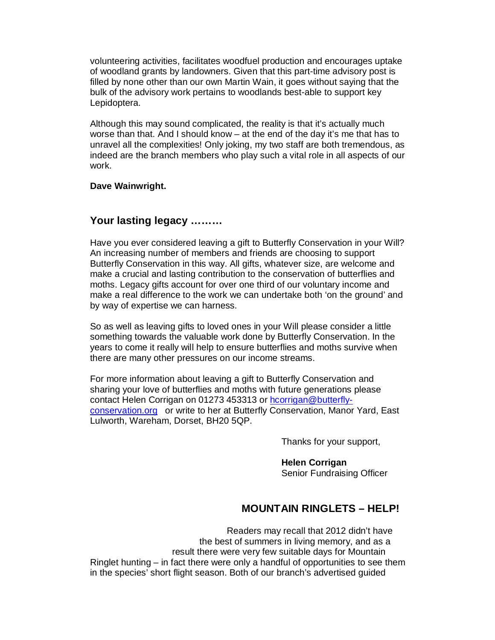volunteering activities, facilitates woodfuel production and encourages uptake of woodland grants by landowners. Given that this part-time advisory post is filled by none other than our own Martin Wain, it goes without saying that the bulk of the advisory work pertains to woodlands best-able to support key Lepidoptera.

Although this may sound complicated, the reality is that it's actually much worse than that. And I should know – at the end of the day it's me that has to unravel all the complexities! Only joking, my two staff are both tremendous, as indeed are the branch members who play such a vital role in all aspects of our work.

#### **Dave Wainwright.**

# **Your lasting legacy ………**

Have you ever considered leaving a gift to Butterfly Conservation in your Will? An increasing number of members and friends are choosing to support Butterfly Conservation in this way. All gifts, whatever size, are welcome and make a crucial and lasting contribution to the conservation of butterflies and moths. Legacy gifts account for over one third of our voluntary income and make a real difference to the work we can undertake both 'on the ground' and by way of expertise we can harness.

So as well as leaving gifts to loved ones in your Will please consider a little something towards the valuable work done by Butterfly Conservation. In the years to come it really will help to ensure butterflies and moths survive when there are many other pressures on our income streams.

For more information about leaving a gift to Butterfly Conservation and sharing your love of butterflies and moths with future generations please contact Helen Corrigan on 01273 453313 or hcorrigan@butterflyconservation.org or write to her at Butterfly Conservation, Manor Yard, East Lulworth, Wareham, Dorset, BH20 5QP.

Thanks for your support,

 **Helen Corrigan**  Senior Fundraising Officer

# **MOUNTAIN RINGLETS – HELP!**

 Readers may recall that 2012 didn't have the best of summers in living memory, and as a result there were very few suitable days for Mountain Ringlet hunting – in fact there were only a handful of opportunities to see them in the species' short flight season. Both of our branch's advertised guided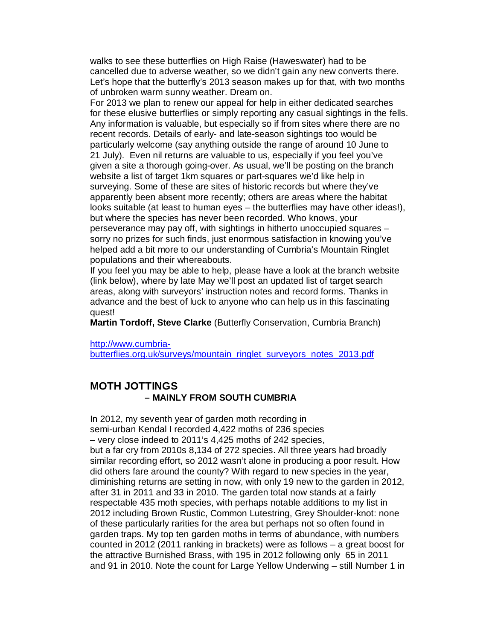walks to see these butterflies on High Raise (Haweswater) had to be cancelled due to adverse weather, so we didn't gain any new converts there. Let's hope that the butterfly's 2013 season makes up for that, with two months of unbroken warm sunny weather. Dream on.

For 2013 we plan to renew our appeal for help in either dedicated searches for these elusive butterflies or simply reporting any casual sightings in the fells. Any information is valuable, but especially so if from sites where there are no recent records. Details of early- and late-season sightings too would be particularly welcome (say anything outside the range of around 10 June to 21 July). Even nil returns are valuable to us, especially if you feel you've given a site a thorough going-over. As usual, we'll be posting on the branch website a list of target 1km squares or part-squares we'd like help in surveying. Some of these are sites of historic records but where they've apparently been absent more recently; others are areas where the habitat looks suitable (at least to human eyes – the butterflies may have other ideas!), but where the species has never been recorded. Who knows, your perseverance may pay off, with sightings in hitherto unoccupied squares – sorry no prizes for such finds, just enormous satisfaction in knowing you've helped add a bit more to our understanding of Cumbria's Mountain Ringlet populations and their whereabouts.

If you feel you may be able to help, please have a look at the branch website (link below), where by late May we'll post an updated list of target search areas, along with surveyors' instruction notes and record forms. Thanks in advance and the best of luck to anyone who can help us in this fascinating quest!

**Martin Tordoff, Steve Clarke** (Butterfly Conservation, Cumbria Branch)

http://www.cumbria-

butterflies.org.uk/surveys/mountain\_ringlet\_surveyors\_notes\_2013.pdf

# **MOTH JOTTINGS – MAINLY FROM SOUTH CUMBRIA**

In 2012, my seventh year of garden moth recording in semi-urban Kendal I recorded 4,422 moths of 236 species – very close indeed to 2011's 4,425 moths of 242 species, but a far cry from 2010s 8,134 of 272 species. All three years had broadly similar recording effort, so 2012 wasn't alone in producing a poor result. How did others fare around the county? With regard to new species in the year, diminishing returns are setting in now, with only 19 new to the garden in 2012, after 31 in 2011 and 33 in 2010. The garden total now stands at a fairly respectable 435 moth species, with perhaps notable additions to my list in 2012 including Brown Rustic, Common Lutestring, Grey Shoulder-knot: none of these particularly rarities for the area but perhaps not so often found in garden traps. My top ten garden moths in terms of abundance, with numbers counted in 2012 (2011 ranking in brackets) were as follows – a great boost for the attractive Burnished Brass, with 195 in 2012 following only 65 in 2011 and 91 in 2010. Note the count for Large Yellow Underwing – still Number 1 in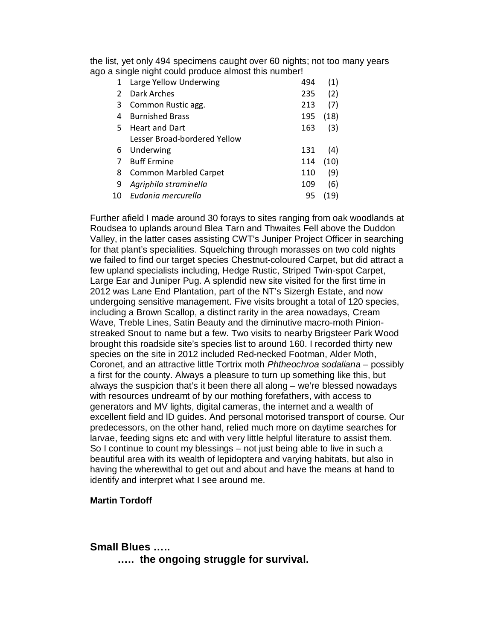the list, yet only 494 specimens caught over 60 nights; not too many years ago a single night could produce almost this number!

| $\mathbf{1}$ | Large Yellow Underwing       | 494 | (1)  |
|--------------|------------------------------|-----|------|
|              | Dark Arches                  | 235 | (2)  |
| 3            | Common Rustic agg.           | 213 | (7)  |
| 4            | <b>Burnished Brass</b>       | 195 | (18) |
| 5.           | <b>Heart and Dart</b>        | 163 | (3)  |
|              | Lesser Broad-bordered Yellow |     |      |
| 6            | Underwing                    | 131 | (4)  |
| 7            | <b>Buff Ermine</b>           | 114 | (10) |
| 8            | <b>Common Marbled Carpet</b> | 110 | (9)  |
| 9            | Agriphila straminella        | 109 | (6)  |
| 10           | Eudonia mercurella           | 95  |      |
|              |                              |     |      |

Further afield I made around 30 forays to sites ranging from oak woodlands at Roudsea to uplands around Blea Tarn and Thwaites Fell above the Duddon Valley, in the latter cases assisting CWT's Juniper Project Officer in searching for that plant's specialities. Squelching through morasses on two cold nights we failed to find our target species Chestnut-coloured Carpet, but did attract a few upland specialists including, Hedge Rustic, Striped Twin-spot Carpet, Large Ear and Juniper Pug. A splendid new site visited for the first time in 2012 was Lane End Plantation, part of the NT's Sizergh Estate, and now undergoing sensitive management. Five visits brought a total of 120 species, including a Brown Scallop, a distinct rarity in the area nowadays, Cream Wave, Treble Lines, Satin Beauty and the diminutive macro-moth Pinionstreaked Snout to name but a few. Two visits to nearby Brigsteer Park Wood brought this roadside site's species list to around 160. I recorded thirty new species on the site in 2012 included Red-necked Footman, Alder Moth, Coronet, and an attractive little Tortrix moth Phtheochroa sodaliana – possibly a first for the county. Always a pleasure to turn up something like this, but always the suspicion that's it been there all along – we're blessed nowadays with resources undreamt of by our mothing forefathers, with access to generators and MV lights, digital cameras, the internet and a wealth of excellent field and ID guides. And personal motorised transport of course. Our predecessors, on the other hand, relied much more on daytime searches for larvae, feeding signs etc and with very little helpful literature to assist them. So I continue to count my blessings – not just being able to live in such a beautiful area with its wealth of lepidoptera and varying habitats, but also in having the wherewithal to get out and about and have the means at hand to identify and interpret what I see around me.

#### **Martin Tordoff**

### **Small Blues …..**

 **….. the ongoing struggle for survival.**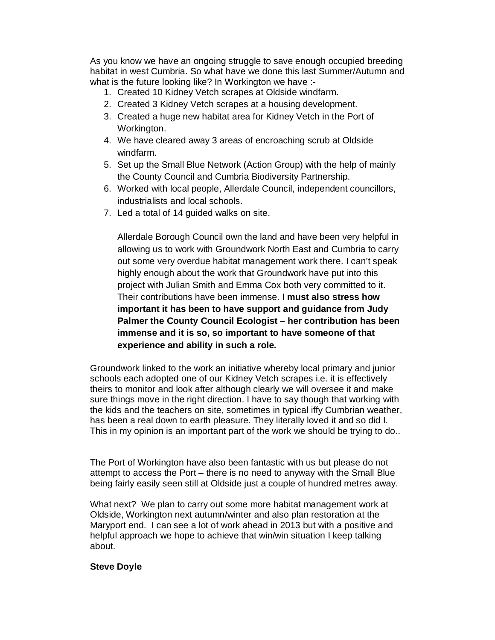As you know we have an ongoing struggle to save enough occupied breeding habitat in west Cumbria. So what have we done this last Summer/Autumn and what is the future looking like? In Workington we have :-

- 1. Created 10 Kidney Vetch scrapes at Oldside windfarm.
- 2. Created 3 Kidney Vetch scrapes at a housing development.
- 3. Created a huge new habitat area for Kidney Vetch in the Port of Workington.
- 4. We have cleared away 3 areas of encroaching scrub at Oldside windfarm.
- 5. Set up the Small Blue Network (Action Group) with the help of mainly the County Council and Cumbria Biodiversity Partnership.
- 6. Worked with local people, Allerdale Council, independent councillors, industrialists and local schools.
- 7. Led a total of 14 guided walks on site.

Allerdale Borough Council own the land and have been very helpful in allowing us to work with Groundwork North East and Cumbria to carry out some very overdue habitat management work there. I can't speak highly enough about the work that Groundwork have put into this project with Julian Smith and Emma Cox both very committed to it. Their contributions have been immense. **I must also stress how important it has been to have support and guidance from Judy Palmer the County Council Ecologist – her contribution has been immense and it is so, so important to have someone of that experience and ability in such a role.** 

Groundwork linked to the work an initiative whereby local primary and junior schools each adopted one of our Kidney Vetch scrapes i.e. it is effectively theirs to monitor and look after although clearly we will oversee it and make sure things move in the right direction. I have to say though that working with the kids and the teachers on site, sometimes in typical iffy Cumbrian weather, has been a real down to earth pleasure. They literally loved it and so did I. This in my opinion is an important part of the work we should be trying to do..

The Port of Workington have also been fantastic with us but please do not attempt to access the Port – there is no need to anyway with the Small Blue being fairly easily seen still at Oldside just a couple of hundred metres away.

What next? We plan to carry out some more habitat management work at Oldside, Workington next autumn/winter and also plan restoration at the Maryport end. I can see a lot of work ahead in 2013 but with a positive and helpful approach we hope to achieve that win/win situation I keep talking about.

### **Steve Doyle**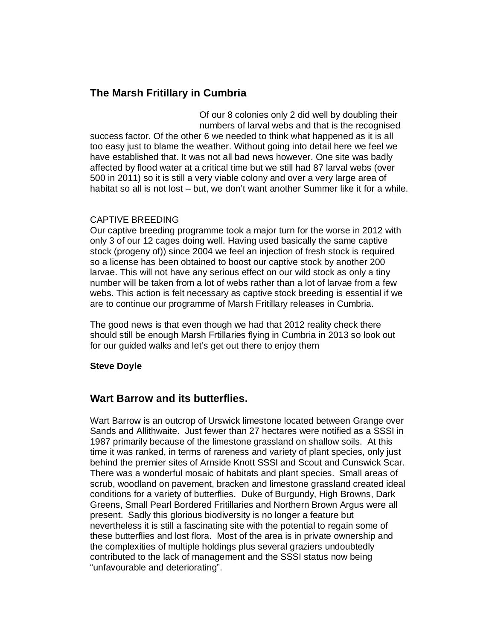# **The Marsh Fritillary in Cumbria**

Of our 8 colonies only 2 did well by doubling their numbers of larval webs and that is the recognised success factor. Of the other 6 we needed to think what happened as it is all too easy just to blame the weather. Without going into detail here we feel we have established that. It was not all bad news however. One site was badly affected by flood water at a critical time but we still had 87 larval webs (over 500 in 2011) so it is still a very viable colony and over a very large area of habitat so all is not lost – but, we don't want another Summer like it for a while.

### CAPTIVE BREEDING

Our captive breeding programme took a major turn for the worse in 2012 with only 3 of our 12 cages doing well. Having used basically the same captive stock (progeny of)) since 2004 we feel an injection of fresh stock is required so a license has been obtained to boost our captive stock by another 200 larvae. This will not have any serious effect on our wild stock as only a tiny number will be taken from a lot of webs rather than a lot of larvae from a few webs. This action is felt necessary as captive stock breeding is essential if we are to continue our programme of Marsh Fritillary releases in Cumbria.

The good news is that even though we had that 2012 reality check there should still be enough Marsh Frtillaries flying in Cumbria in 2013 so look out for our guided walks and let's get out there to enjoy them

### **Steve Doyle**

# **Wart Barrow and its butterflies.**

Wart Barrow is an outcrop of Urswick limestone located between Grange over Sands and Allithwaite. Just fewer than 27 hectares were notified as a SSSI in 1987 primarily because of the limestone grassland on shallow soils. At this time it was ranked, in terms of rareness and variety of plant species, only just behind the premier sites of Arnside Knott SSSI and Scout and Cunswick Scar. There was a wonderful mosaic of habitats and plant species. Small areas of scrub, woodland on pavement, bracken and limestone grassland created ideal conditions for a variety of butterflies. Duke of Burgundy, High Browns, Dark Greens, Small Pearl Bordered Fritillaries and Northern Brown Argus were all present. Sadly this glorious biodiversity is no longer a feature but nevertheless it is still a fascinating site with the potential to regain some of these butterflies and lost flora. Most of the area is in private ownership and the complexities of multiple holdings plus several graziers undoubtedly contributed to the lack of management and the SSSI status now being "unfavourable and deteriorating".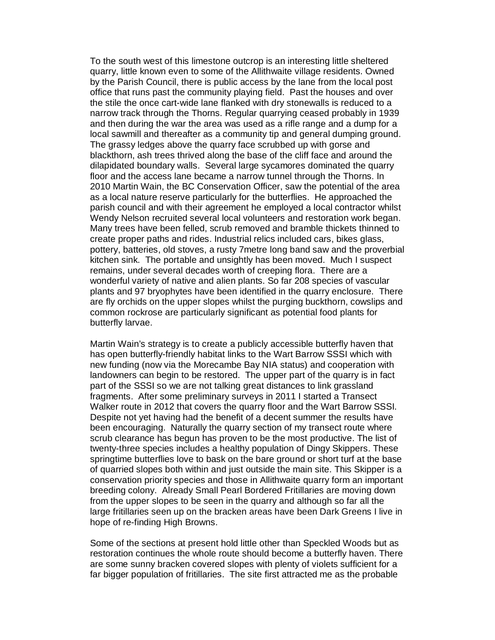To the south west of this limestone outcrop is an interesting little sheltered quarry, little known even to some of the Allithwaite village residents. Owned by the Parish Council, there is public access by the lane from the local post office that runs past the community playing field. Past the houses and over the stile the once cart-wide lane flanked with dry stonewalls is reduced to a narrow track through the Thorns. Regular quarrying ceased probably in 1939 and then during the war the area was used as a rifle range and a dump for a local sawmill and thereafter as a community tip and general dumping ground. The grassy ledges above the quarry face scrubbed up with gorse and blackthorn, ash trees thrived along the base of the cliff face and around the dilapidated boundary walls. Several large sycamores dominated the quarry floor and the access lane became a narrow tunnel through the Thorns. In 2010 Martin Wain, the BC Conservation Officer, saw the potential of the area as a local nature reserve particularly for the butterflies. He approached the parish council and with their agreement he employed a local contractor whilst Wendy Nelson recruited several local volunteers and restoration work began. Many trees have been felled, scrub removed and bramble thickets thinned to create proper paths and rides. Industrial relics included cars, bikes glass, pottery, batteries, old stoves, a rusty 7metre long band saw and the proverbial kitchen sink. The portable and unsightly has been moved. Much I suspect remains, under several decades worth of creeping flora. There are a wonderful variety of native and alien plants. So far 208 species of vascular plants and 97 bryophytes have been identified in the quarry enclosure. There are fly orchids on the upper slopes whilst the purging buckthorn, cowslips and common rockrose are particularly significant as potential food plants for butterfly larvae.

Martin Wain's strategy is to create a publicly accessible butterfly haven that has open butterfly-friendly habitat links to the Wart Barrow SSSI which with new funding (now via the Morecambe Bay NIA status) and cooperation with landowners can begin to be restored. The upper part of the quarry is in fact part of the SSSI so we are not talking great distances to link grassland fragments. After some preliminary surveys in 2011 I started a Transect Walker route in 2012 that covers the quarry floor and the Wart Barrow SSSI. Despite not yet having had the benefit of a decent summer the results have been encouraging. Naturally the quarry section of my transect route where scrub clearance has begun has proven to be the most productive. The list of twenty-three species includes a healthy population of Dingy Skippers. These springtime butterflies love to bask on the bare ground or short turf at the base of quarried slopes both within and just outside the main site. This Skipper is a conservation priority species and those in Allithwaite quarry form an important breeding colony. Already Small Pearl Bordered Fritillaries are moving down from the upper slopes to be seen in the quarry and although so far all the large fritillaries seen up on the bracken areas have been Dark Greens I live in hope of re-finding High Browns.

Some of the sections at present hold little other than Speckled Woods but as restoration continues the whole route should become a butterfly haven. There are some sunny bracken covered slopes with plenty of violets sufficient for a far bigger population of fritillaries. The site first attracted me as the probable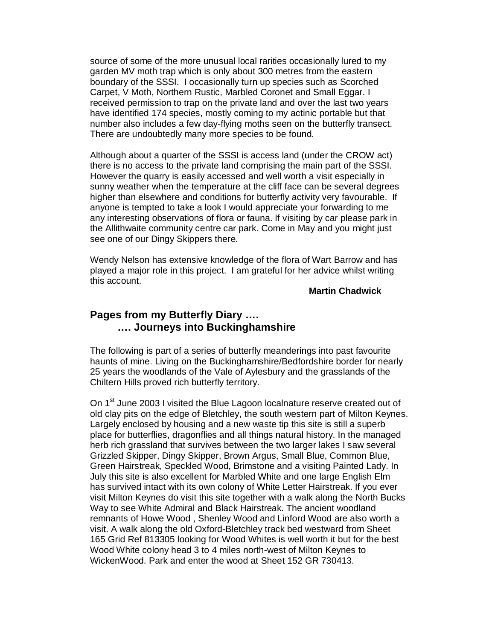source of some of the more unusual local rarities occasionally lured to my garden MV moth trap which is only about 300 metres from the eastern boundary of the SSSI. I occasionally turn up species such as Scorched Carpet, V Moth, Northern Rustic, Marbled Coronet and Small Eggar. I received permission to trap on the private land and over the last two years have identified 174 species, mostly coming to my actinic portable but that number also includes a few day-flying moths seen on the butterfly transect. There are undoubtedly many more species to be found.

Although about a quarter of the SSSI is access land (under the CROW act) there is no access to the private land comprising the main part of the SSSI. However the quarry is easily accessed and well worth a visit especially in sunny weather when the temperature at the cliff face can be several degrees higher than elsewhere and conditions for butterfly activity very favourable. If anyone is tempted to take a look I would appreciate your forwarding to me any interesting observations of flora or fauna. If visiting by car please park in the Allithwaite community centre car park. Come in May and you might just see one of our Dingy Skippers there.

Wendy Nelson has extensive knowledge of the flora of Wart Barrow and has played a major role in this project. I am grateful for her advice whilst writing this account.

#### **Martin Chadwick**

# **Pages from my Butterfly Diary …. …. Journeys into Buckinghamshire**

The following is part of a series of butterfly meanderings into past favourite haunts of mine. Living on the Buckinghamshire/Bedfordshire border for nearly 25 years the woodlands of the Vale of Aylesbury and the grasslands of the Chiltern Hills proved rich butterfly territory.

On 1<sup>st</sup> June 2003 I visited the Blue Lagoon localnature reserve created out of old clay pits on the edge of Bletchley, the south western part of Milton Keynes. Largely enclosed by housing and a new waste tip this site is still a superb place for butterflies, dragonflies and all things natural history. In the managed herb rich grassland that survives between the two larger lakes I saw several Grizzled Skipper, Dingy Skipper, Brown Argus, Small Blue, Common Blue, Green Hairstreak, Speckled Wood, Brimstone and a visiting Painted Lady. In July this site is also excellent for Marbled White and one large English Elm has survived intact with its own colony of White Letter Hairstreak. If you ever visit Milton Keynes do visit this site together with a walk along the North Bucks Way to see White Admiral and Black Hairstreak. The ancient woodland remnants of Howe Wood , Shenley Wood and Linford Wood are also worth a visit. A walk along the old Oxford-Bletchley track bed westward from Sheet 165 Grid Ref 813305 looking for Wood Whites is well worth it but for the best Wood White colony head 3 to 4 miles north-west of Milton Keynes to WickenWood. Park and enter the wood at Sheet 152 GR 730413.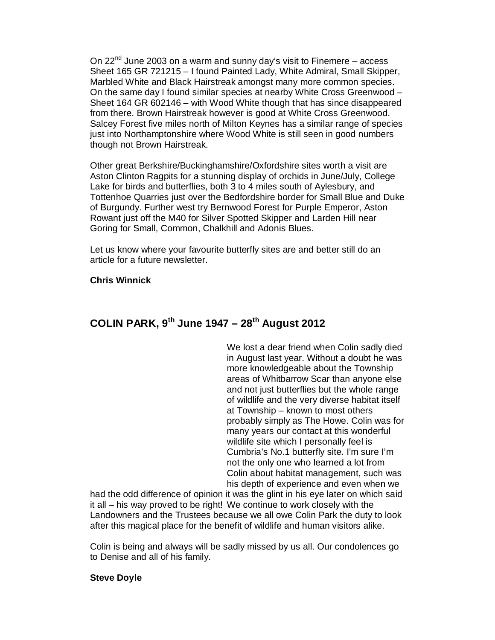On  $22<sup>nd</sup>$  June 2003 on a warm and sunny day's visit to Finemere – access Sheet 165 GR 721215 – I found Painted Lady, White Admiral, Small Skipper, Marbled White and Black Hairstreak amongst many more common species. On the same day I found similar species at nearby White Cross Greenwood – Sheet 164 GR 602146 – with Wood White though that has since disappeared from there. Brown Hairstreak however is good at White Cross Greenwood. Salcey Forest five miles north of Milton Keynes has a similar range of species just into Northamptonshire where Wood White is still seen in good numbers though not Brown Hairstreak.

Other great Berkshire/Buckinghamshire/Oxfordshire sites worth a visit are Aston Clinton Ragpits for a stunning display of orchids in June/July, College Lake for birds and butterflies, both 3 to 4 miles south of Aylesbury, and Tottenhoe Quarries just over the Bedfordshire border for Small Blue and Duke of Burgundy. Further west try Bernwood Forest for Purple Emperor, Aston Rowant just off the M40 for Silver Spotted Skipper and Larden Hill near Goring for Small, Common, Chalkhill and Adonis Blues.

Let us know where your favourite butterfly sites are and better still do an article for a future newsletter.

#### **Chris Winnick**

# **COLIN PARK, 9th June 1947 – 28th August 2012**

We lost a dear friend when Colin sadly died in August last year. Without a doubt he was more knowledgeable about the Township areas of Whitbarrow Scar than anyone else and not just butterflies but the whole range of wildlife and the very diverse habitat itself at Township – known to most others probably simply as The Howe. Colin was for many years our contact at this wonderful wildlife site which I personally feel is Cumbria's No.1 butterfly site. I'm sure I'm not the only one who learned a lot from Colin about habitat management, such was his depth of experience and even when we

had the odd difference of opinion it was the glint in his eye later on which said it all – his way proved to be right! We continue to work closely with the Landowners and the Trustees because we all owe Colin Park the duty to look after this magical place for the benefit of wildlife and human visitors alike.

Colin is being and always will be sadly missed by us all. Our condolences go to Denise and all of his family.

#### **Steve Doyle**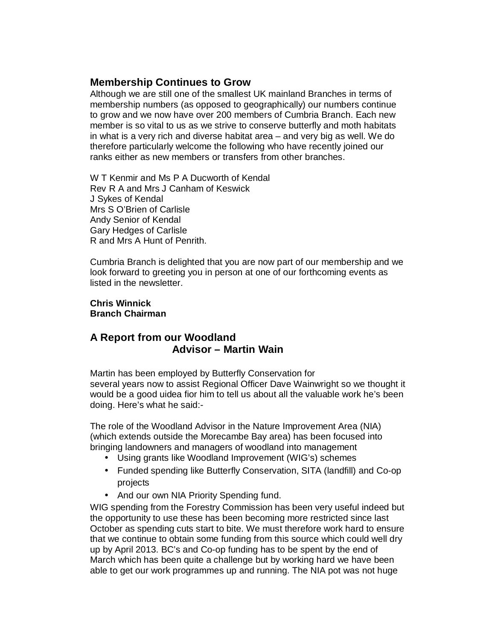# **Membership Continues to Grow**

Although we are still one of the smallest UK mainland Branches in terms of membership numbers (as opposed to geographically) our numbers continue to grow and we now have over 200 members of Cumbria Branch. Each new member is so vital to us as we strive to conserve butterfly and moth habitats in what is a very rich and diverse habitat area – and very big as well. We do therefore particularly welcome the following who have recently joined our ranks either as new members or transfers from other branches.

W T Kenmir and Ms P A Ducworth of Kendal Rev R A and Mrs J Canham of Keswick J Sykes of Kendal Mrs S O'Brien of Carlisle Andy Senior of Kendal Gary Hedges of Carlisle R and Mrs A Hunt of Penrith.

Cumbria Branch is delighted that you are now part of our membership and we look forward to greeting you in person at one of our forthcoming events as listed in the newsletter.

#### **Chris Winnick Branch Chairman**

# **A Report from our Woodland Advisor – Martin Wain**

Martin has been employed by Butterfly Conservation for several years now to assist Regional Officer Dave Wainwright so we thought it would be a good uidea fior him to tell us about all the valuable work he's been doing. Here's what he said:-

The role of the Woodland Advisor in the Nature Improvement Area (NIA) (which extends outside the Morecambe Bay area) has been focused into bringing landowners and managers of woodland into management

- Using grants like Woodland Improvement (WIG's) schemes
- Funded spending like Butterfly Conservation, SITA (landfill) and Co-op projects
- And our own NIA Priority Spending fund.

WIG spending from the Forestry Commission has been very useful indeed but the opportunity to use these has been becoming more restricted since last October as spending cuts start to bite. We must therefore work hard to ensure that we continue to obtain some funding from this source which could well dry up by April 2013. BC's and Co-op funding has to be spent by the end of March which has been quite a challenge but by working hard we have been able to get our work programmes up and running. The NIA pot was not huge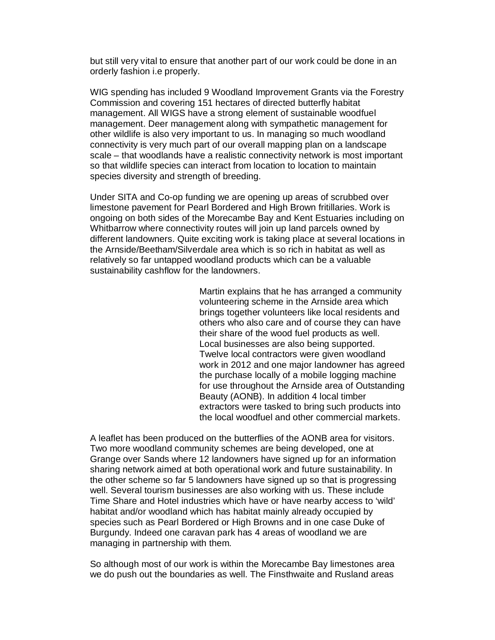but still very vital to ensure that another part of our work could be done in an orderly fashion i.e properly.

WIG spending has included 9 Woodland Improvement Grants via the Forestry Commission and covering 151 hectares of directed butterfly habitat management. All WIGS have a strong element of sustainable woodfuel management. Deer management along with sympathetic management for other wildlife is also very important to us. In managing so much woodland connectivity is very much part of our overall mapping plan on a landscape scale – that woodlands have a realistic connectivity network is most important so that wildlife species can interact from location to location to maintain species diversity and strength of breeding.

Under SITA and Co-op funding we are opening up areas of scrubbed over limestone pavement for Pearl Bordered and High Brown fritillaries. Work is ongoing on both sides of the Morecambe Bay and Kent Estuaries including on Whitbarrow where connectivity routes will join up land parcels owned by different landowners. Quite exciting work is taking place at several locations in the Arnside/Beetham/Silverdale area which is so rich in habitat as well as relatively so far untapped woodland products which can be a valuable sustainability cashflow for the landowners.

> Martin explains that he has arranged a community volunteering scheme in the Arnside area which brings together volunteers like local residents and others who also care and of course they can have their share of the wood fuel products as well. Local businesses are also being supported. Twelve local contractors were given woodland work in 2012 and one major landowner has agreed the purchase locally of a mobile logging machine for use throughout the Arnside area of Outstanding Beauty (AONB). In addition 4 local timber extractors were tasked to bring such products into the local woodfuel and other commercial markets.

A leaflet has been produced on the butterflies of the AONB area for visitors. Two more woodland community schemes are being developed, one at Grange over Sands where 12 landowners have signed up for an information sharing network aimed at both operational work and future sustainability. In the other scheme so far 5 landowners have signed up so that is progressing well. Several tourism businesses are also working with us. These include Time Share and Hotel industries which have or have nearby access to 'wild' habitat and/or woodland which has habitat mainly already occupied by species such as Pearl Bordered or High Browns and in one case Duke of Burgundy. Indeed one caravan park has 4 areas of woodland we are managing in partnership with them.

So although most of our work is within the Morecambe Bay limestones area we do push out the boundaries as well. The Finsthwaite and Rusland areas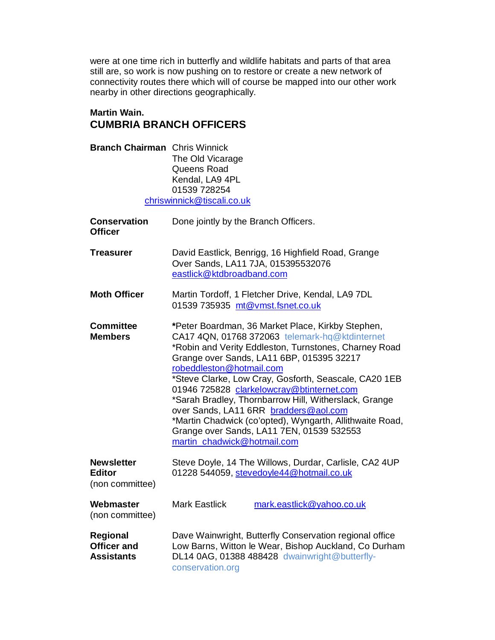were at one time rich in butterfly and wildlife habitats and parts of that area still are, so work is now pushing on to restore or create a new network of connectivity routes there which will of course be mapped into our other work nearby in other directions geographically.

# **Martin Wain. CUMBRIA BRANCH OFFICERS**

| <b>Branch Chairman</b> Chris Winnick                  | The Old Vicarage<br>Queens Road<br>Kendal, LA9 4PL<br>01539 728254<br>chriswinnick@tiscali.co.uk                                                                                                                                                                                                                                                                                                                                                                                                                                                                                      |
|-------------------------------------------------------|---------------------------------------------------------------------------------------------------------------------------------------------------------------------------------------------------------------------------------------------------------------------------------------------------------------------------------------------------------------------------------------------------------------------------------------------------------------------------------------------------------------------------------------------------------------------------------------|
| <b>Conservation</b><br><b>Officer</b>                 | Done jointly by the Branch Officers.                                                                                                                                                                                                                                                                                                                                                                                                                                                                                                                                                  |
| Treasurer                                             | David Eastlick, Benrigg, 16 Highfield Road, Grange<br>Over Sands, LA11 7JA, 015395532076<br>eastlick@ktdbroadband.com                                                                                                                                                                                                                                                                                                                                                                                                                                                                 |
| <b>Moth Officer</b>                                   | Martin Tordoff, 1 Fletcher Drive, Kendal, LA9 7DL<br>01539 735935 mt@vmst.fsnet.co.uk                                                                                                                                                                                                                                                                                                                                                                                                                                                                                                 |
| <b>Committee</b><br><b>Members</b>                    | *Peter Boardman, 36 Market Place, Kirkby Stephen,<br>CA17 4QN, 01768 372063 telemark-hq@ktdinternet<br>*Robin and Verity Eddleston, Turnstones, Charney Road<br>Grange over Sands, LA11 6BP, 015395 32217<br>robeddleston@hotmail.com<br>*Steve Clarke, Low Cray, Gosforth, Seascale, CA20 1EB<br>01946 725828 clarkelowcray@btinternet.com<br>*Sarah Bradley, Thornbarrow Hill, Witherslack, Grange<br>over Sands, LA11 6RR bradders@aol.com<br>*Martin Chadwick (co'opted), Wyngarth, Allithwaite Road,<br>Grange over Sands, LA11 7EN, 01539 532553<br>martin_chadwick@hotmail.com |
| <b>Newsletter</b><br><b>Editor</b><br>(non committee) | Steve Doyle, 14 The Willows, Durdar, Carlisle, CA2 4UP<br>01228 544059, stevedoyle44@hotmail.co.uk                                                                                                                                                                                                                                                                                                                                                                                                                                                                                    |
| Webmaster<br>(non committee)                          | <b>Mark Eastlick</b><br>mark.eastlick@yahoo.co.uk                                                                                                                                                                                                                                                                                                                                                                                                                                                                                                                                     |
| <b>Regional</b><br><b>Officer and</b><br>Assistants   | Dave Wainwright, Butterfly Conservation regional office<br>Low Barns, Witton le Wear, Bishop Auckland, Co Durham<br>DL14 0AG, 01388 488428 dwainwright@butterfly-                                                                                                                                                                                                                                                                                                                                                                                                                     |

conservation.org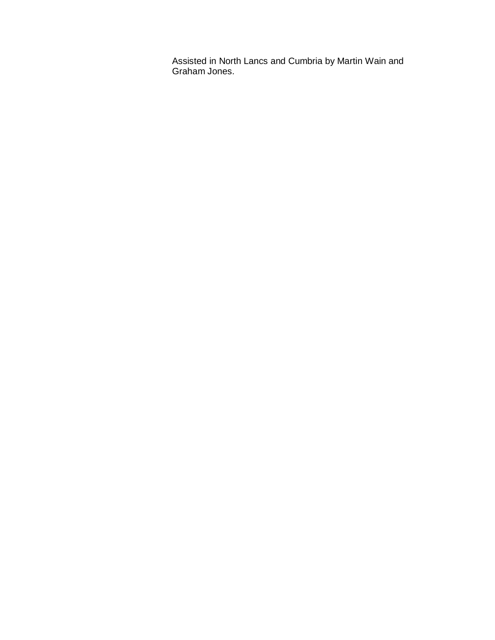Assisted in North Lancs and Cumbria by Martin Wain and Graham Jones.